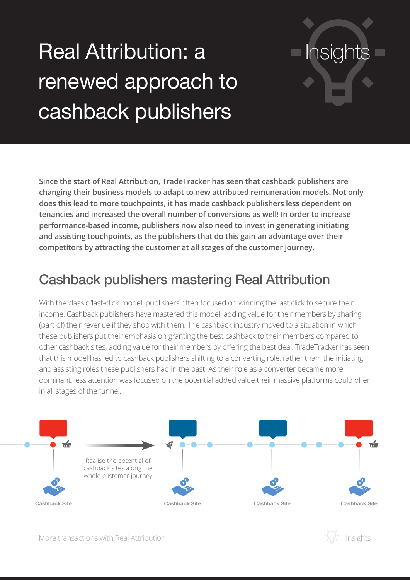# Real Attribution: a renewed approach to cashback publishers

**Since the start of Real Attribution, TradeTracker has seen that cashback publishers are changing their business models to adapt to new attributed remuneration models. Not only does this lead to more touchpoints, it has made cashback publishers less dependent on tenancies and increased the overall number of conversions as well! In order to increase performance-based income, publishers now also need to invest in generating initiating and assisting touchpoints, as the publishers that do this gain an advantage over their competitors by attracting the customer at all stages of the customer journey.**

### Cashback publishers mastering Real Attribution

With the classic 'last-click' model, publishers often focused on winning the last click to secure their income. Cashback publishers have mastered this model, adding value for their members by sharing (part of) their revenue if they shop with them. The cashback industry moved to a situation in which these publishers put their emphasis on granting the best cashback to their members compared to other cashback sites, adding value for their members by offering the best deal. TradeTracker has seen that this model has led to cashback publishers shifting to a converting role, rather than the initiating and assisting roles these publishers had in the past. As their role as a converter became more dominant, less attention was focused on the potential added value their massive platforms could offer in all stages of the funnel.





**Insights**